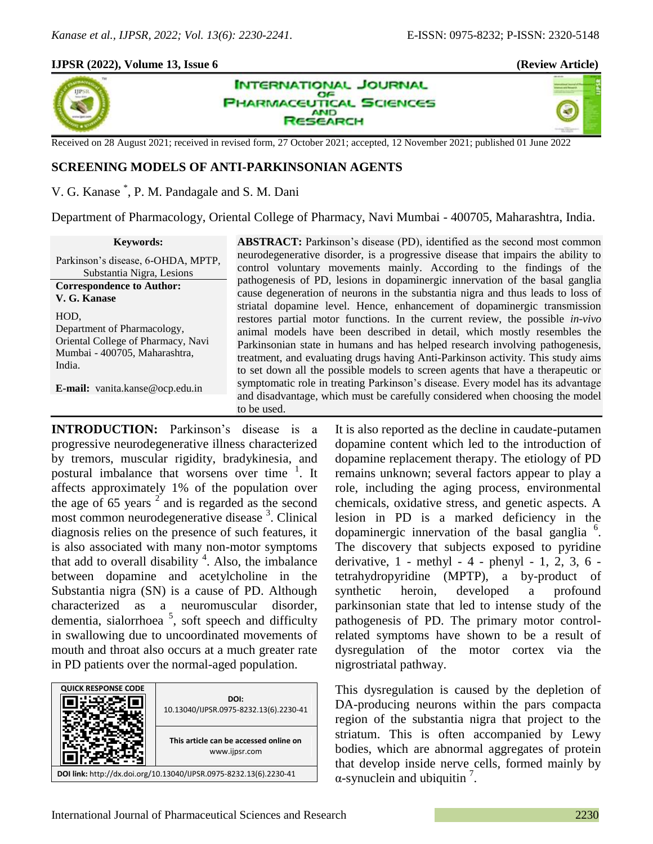40

## **IJPSR (2022), Volume 13, Issue 6 (Review Article)**



**INTERNATIONAL JOURNAL** OF **PHARMACEUTICAL SCIENCES AND SEARCH** 

Received on 28 August 2021; received in revised form, 27 October 2021; accepted, 12 November 2021; published 01 June 2022

# **SCREENING MODELS OF ANTI-PARKINSONIAN AGENTS**

V. G. Kanase \* , P. M. Pandagale and S. M. Dani

Department of Pharmacology, Oriental College of Pharmacy, Navi Mumbai - 400705, Maharashtra, India.

**Keywords:** Parkinson's disease, 6-OHDA, MPTP, Substantia Nigra, Lesions **Correspondence to Author: V. G. Kanase** HOD, Department of Pharmacology, Oriental College of Pharmacy, Navi Mumbai - 400705, Maharashtra, India.

**E-mail:** vanita.kanse@ocp.edu.in

**ABSTRACT:** Parkinson's disease (PD), identified as the second most common neurodegenerative disorder, is a progressive disease that impairs the ability to control voluntary movements mainly. According to the findings of the pathogenesis of PD, lesions in dopaminergic innervation of the basal ganglia cause degeneration of neurons in the substantia nigra and thus leads to loss of striatal dopamine level. Hence, enhancement of dopaminergic transmission restores partial motor functions. In the current review, the possible *in-vivo* animal models have been described in detail, which mostly resembles the Parkinsonian state in humans and has helped research involving pathogenesis, treatment, and evaluating drugs having Anti-Parkinson activity. This study aims to set down all the possible models to screen agents that have a therapeutic or symptomatic role in treating Parkinson's disease. Every model has its advantage and disadvantage, which must be carefully considered when choosing the model to be used.

**INTRODUCTION:** Parkinson's disease is a progressive neurodegenerative illness characterized by tremors, muscular rigidity, bradykinesia, and postural imbalance that worsens over time <sup>1</sup>. It affects approximately 1% of the population over the age of 65 years  $2^{2}$  and is regarded as the second most common neurodegenerative disease <sup>3</sup>. Clinical diagnosis relies on the presence of such features, it is also associated with many non-motor symptoms that add to overall disability  $4$ . Also, the imbalance between dopamine and acetylcholine in the Substantia nigra (SN) is a cause of PD. Although characterized as a neuromuscular disorder, dementia, sialorrhoea<sup>5</sup>, soft speech and difficulty in swallowing due to uncoordinated movements of mouth and throat also occurs at a much greater rate in PD patients over the normal-aged population.



It is also reported as the decline in caudate-putamen dopamine content which led to the introduction of dopamine replacement therapy. The etiology of PD remains unknown; several factors appear to play a role, including the aging process, environmental chemicals, oxidative stress, and genetic aspects. A lesion in PD is a marked deficiency in the dopaminergic innervation of the basal ganglia<sup>6</sup>. The discovery that subjects exposed to pyridine derivative, 1 - methyl - 4 - phenyl - 1, 2, 3, 6 tetrahydropyridine (MPTP), a by-product of synthetic heroin, developed a profound parkinsonian state that led to intense study of the pathogenesis of PD. The primary motor controlrelated symptoms have shown to be a result of dysregulation of the motor cortex via the nigrostriatal pathway.

This dysregulation is caused by the depletion of DA-producing neurons within the pars compacta region of the substantia nigra that project to the striatum. This is often accompanied by Lewy bodies, which are abnormal aggregates of protein that develop inside nerve cells, formed mainly by  $\alpha$ -synuclein and ubiquitin<sup>7</sup>.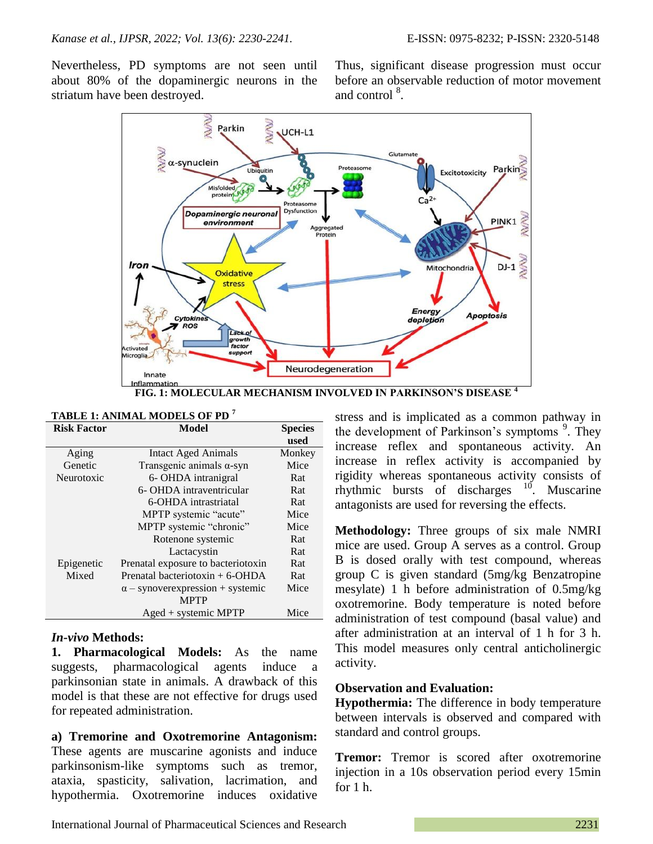Nevertheless, PD symptoms are not seen until about 80% of the dopaminergic neurons in the striatum have been destroyed.

Thus, significant disease progression must occur before an observable reduction of motor movement and control <sup>8</sup>.



| <b>Risk Factor</b> | <b>Model</b>                             | <b>Species</b> |
|--------------------|------------------------------------------|----------------|
|                    |                                          | used           |
| Aging              | <b>Intact Aged Animals</b>               | Monkey         |
| Genetic            | Transgenic animals $\alpha$ -syn         | Mice           |
| Neurotoxic         | 6- OHDA intranigral                      | Rat            |
|                    | 6- OHDA intraventricular                 | Rat            |
|                    | 6-OHDA intrastriatal                     | Rat            |
|                    | MPTP systemic "acute"                    | Mice           |
|                    | MPTP systemic "chronic"                  | Mice           |
|                    | Rotenone systemic                        | Rat            |
|                    | Lactacystin                              | Rat            |
| Epigenetic         | Prenatal exposure to bacteriotoxin       | Rat            |
| Mixed              | Prenatal bacteriotoxin $+ 6$ -OHDA       | Rat            |
|                    | $\alpha$ – synover expression + systemic | Mice           |
|                    | <b>MPTP</b>                              |                |
|                    | $A$ ged + systemic MPTP                  | Mice           |

#### **TABLE 1: ANIMAL MODELS OF PD <sup>7</sup>**

### *In-vivo* **Methods:**

**1. Pharmacological Models:** As the name suggests, pharmacological agents induce a parkinsonian state in animals. A drawback of this model is that these are not effective for drugs used for repeated administration.

**a) Tremorine and Oxotremorine Antagonism:** These agents are muscarine agonists and induce parkinsonism-like symptoms such as tremor, ataxia, spasticity, salivation, lacrimation, and hypothermia. Oxotremorine induces oxidative

stress and is implicated as a common pathway in the development of Parkinson's symptoms <sup>9</sup>. They increase reflex and spontaneous activity. An increase in reflex activity is accompanied by rigidity whereas spontaneous activity consists of rhythmic bursts of discharges  $10$ . Muscarine antagonists are used for reversing the effects.

**Methodology:** Three groups of six male NMRI mice are used. Group A serves as a control. Group B is dosed orally with test compound, whereas group C is given standard (5mg/kg Benzatropine mesylate) 1 h before administration of 0.5mg/kg oxotremorine. Body temperature is noted before administration of test compound (basal value) and after administration at an interval of 1 h for 3 h. This model measures only central anticholinergic activity.

### **Observation and Evaluation:**

**Hypothermia:** The difference in body temperature between intervals is observed and compared with standard and control groups.

**Tremor:** Tremor is scored after oxotremorine injection in a 10s observation period every 15min for 1 h.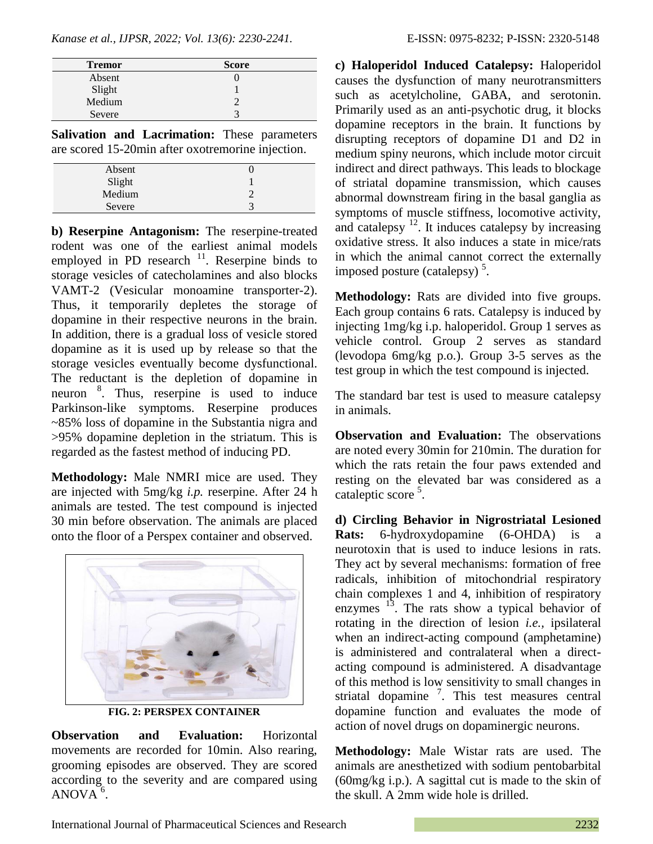*Kanase et al., IJPSR, 2022; Vol. 13(6): 2230-2241.* E-ISSN: 0975-8232; P-ISSN: 2320-5148

| <b>Tremor</b>    | <b>Score</b> |
|------------------|--------------|
| Absent           |              |
| Slight<br>Medium |              |
|                  |              |
| Severe           |              |

**Salivation and Lacrimation:** These parameters are scored 15-20min after oxotremorine injection.

| Absent |   |
|--------|---|
| Slight |   |
| Medium |   |
| Severe | ◠ |

**b) Reserpine Antagonism:** The reserpine-treated rodent was one of the earliest animal models employed in PD research  $11$ . Reserpine binds to storage vesicles of catecholamines and also blocks VAMT-2 (Vesicular monoamine transporter-2). Thus, it temporarily depletes the storage of dopamine in their respective neurons in the brain. In addition, there is a gradual loss of vesicle stored dopamine as it is used up by release so that the storage vesicles eventually become dysfunctional. The reductant is the depletion of dopamine in neuron <sup>8</sup>. Thus, reserpine is used to induce Parkinson-like symptoms. Reserpine produces ~85% loss of dopamine in the Substantia nigra and >95% dopamine depletion in the striatum. This is regarded as the fastest method of inducing PD.

**Methodology:** Male NMRI mice are used. They are injected with 5mg/kg *i.p.* reserpine. After 24 h animals are tested. The test compound is injected 30 min before observation. The animals are placed onto the floor of a Perspex container and observed.



**FIG. 2: PERSPEX CONTAINER**

**Observation and Evaluation:** Horizontal movements are recorded for 10min. Also rearing, grooming episodes are observed. They are scored according to the severity and are compared using  $ANOVA<sup>6</sup>$ .

**c) Haloperidol Induced Catalepsy:** Haloperidol causes the dysfunction of many neurotransmitters such as acetylcholine, GABA, and serotonin. Primarily used as an anti-psychotic drug, it blocks dopamine receptors in the brain. It functions by disrupting receptors of dopamine D1 and D2 in medium spiny neurons, which include motor circuit indirect and direct pathways. This leads to blockage of striatal dopamine transmission, which causes abnormal downstream firing in the basal ganglia as symptoms of muscle stiffness, locomotive activity, and catalepsy  $12$ . It induces catalepsy by increasing oxidative stress. It also induces a state in mice/rats in which the animal cannot correct the externally imposed posture (catalepsy)<sup>5</sup>.

**Methodology:** Rats are divided into five groups. Each group contains 6 rats. Catalepsy is induced by injecting 1mg/kg i.p. haloperidol. Group 1 serves as vehicle control. Group 2 serves as standard (levodopa 6mg/kg p.o.). Group 3-5 serves as the test group in which the test compound is injected.

The standard bar test is used to measure catalepsy in animals.

**Observation and Evaluation:** The observations are noted every 30min for 210min. The duration for which the rats retain the four paws extended and resting on the elevated bar was considered as a cataleptic score<sup>5</sup>.

**d) Circling Behavior in Nigrostriatal Lesioned Rats:** 6-hydroxydopamine (6-OHDA) is a neurotoxin that is used to induce lesions in rats. They act by several mechanisms: formation of free radicals, inhibition of mitochondrial respiratory chain complexes 1 and 4, inhibition of respiratory enzymes  $^{13}$ . The rats show a typical behavior of rotating in the direction of lesion *i.e.,* ipsilateral when an indirect-acting compound (amphetamine) is administered and contralateral when a directacting compound is administered. A disadvantage of this method is low sensitivity to small changes in striatal dopamine<sup>7</sup>. This test measures central dopamine function and evaluates the mode of action of novel drugs on dopaminergic neurons.

**Methodology:** Male Wistar rats are used. The animals are anesthetized with sodium pentobarbital (60mg/kg i.p.). A sagittal cut is made to the skin of the skull. A 2mm wide hole is drilled.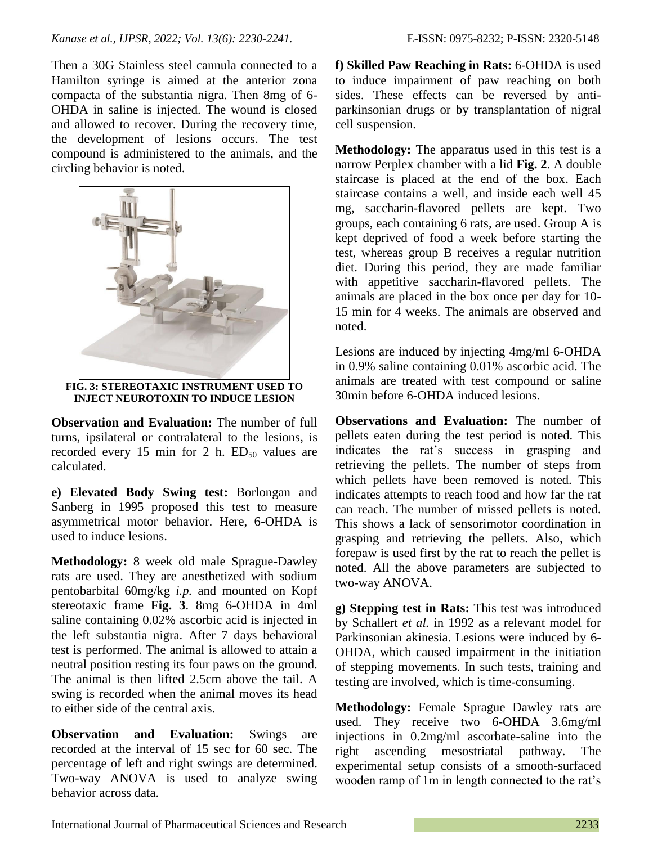Then a 30G Stainless steel cannula connected to a Hamilton syringe is aimed at the anterior zona compacta of the substantia nigra. Then 8mg of 6- OHDA in saline is injected. The wound is closed and allowed to recover. During the recovery time, the development of lesions occurs. The test compound is administered to the animals, and the circling behavior is noted.



**FIG. 3: STEREOTAXIC INSTRUMENT USED TO INJECT NEUROTOXIN TO INDUCE LESION**

**Observation and Evaluation:** The number of full turns, ipsilateral or contralateral to the lesions, is recorded every 15 min for 2 h.  $ED_{50}$  values are calculated.

**e) Elevated Body Swing test:** Borlongan and Sanberg in 1995 proposed this test to measure asymmetrical motor behavior. Here, 6-OHDA is used to induce lesions.

**Methodology:** 8 week old male Sprague-Dawley rats are used. They are anesthetized with sodium pentobarbital 60mg/kg *i.p.* and mounted on Kopf stereotaxic frame **Fig. 3**. 8mg 6-OHDA in 4ml saline containing 0.02% ascorbic acid is injected in the left substantia nigra. After 7 days behavioral test is performed. The animal is allowed to attain a neutral position resting its four paws on the ground. The animal is then lifted 2.5cm above the tail. A swing is recorded when the animal moves its head to either side of the central axis.

**Observation and Evaluation:** Swings are recorded at the interval of 15 sec for 60 sec. The percentage of left and right swings are determined. Two-way ANOVA is used to analyze swing behavior across data.

**f) Skilled Paw Reaching in Rats:** 6-OHDA is used to induce impairment of paw reaching on both sides. These effects can be reversed by antiparkinsonian drugs or by transplantation of nigral cell suspension.

**Methodology:** The apparatus used in this test is a narrow Perplex chamber with a lid **Fig. 2**. A double staircase is placed at the end of the box. Each staircase contains a well, and inside each well 45 mg, saccharin-flavored pellets are kept. Two groups, each containing 6 rats, are used. Group A is kept deprived of food a week before starting the test, whereas group B receives a regular nutrition diet. During this period, they are made familiar with appetitive saccharin-flavored pellets. The animals are placed in the box once per day for 10- 15 min for 4 weeks. The animals are observed and noted.

Lesions are induced by injecting 4mg/ml 6-OHDA in 0.9% saline containing 0.01% ascorbic acid. The animals are treated with test compound or saline 30min before 6-OHDA induced lesions.

**Observations and Evaluation:** The number of pellets eaten during the test period is noted. This indicates the rat's success in grasping and retrieving the pellets. The number of steps from which pellets have been removed is noted. This indicates attempts to reach food and how far the rat can reach. The number of missed pellets is noted. This shows a lack of sensorimotor coordination in grasping and retrieving the pellets. Also, which forepaw is used first by the rat to reach the pellet is noted. All the above parameters are subjected to two-way ANOVA.

**g) Stepping test in Rats:** This test was introduced by Schallert *et al.* in 1992 as a relevant model for Parkinsonian akinesia. Lesions were induced by 6- OHDA, which caused impairment in the initiation of stepping movements. In such tests, training and testing are involved, which is time-consuming.

**Methodology:** Female Sprague Dawley rats are used. They receive two 6-OHDA 3.6mg/ml injections in 0.2mg/ml ascorbate-saline into the right ascending mesostriatal pathway. The experimental setup consists of a smooth-surfaced wooden ramp of 1m in length connected to the rat's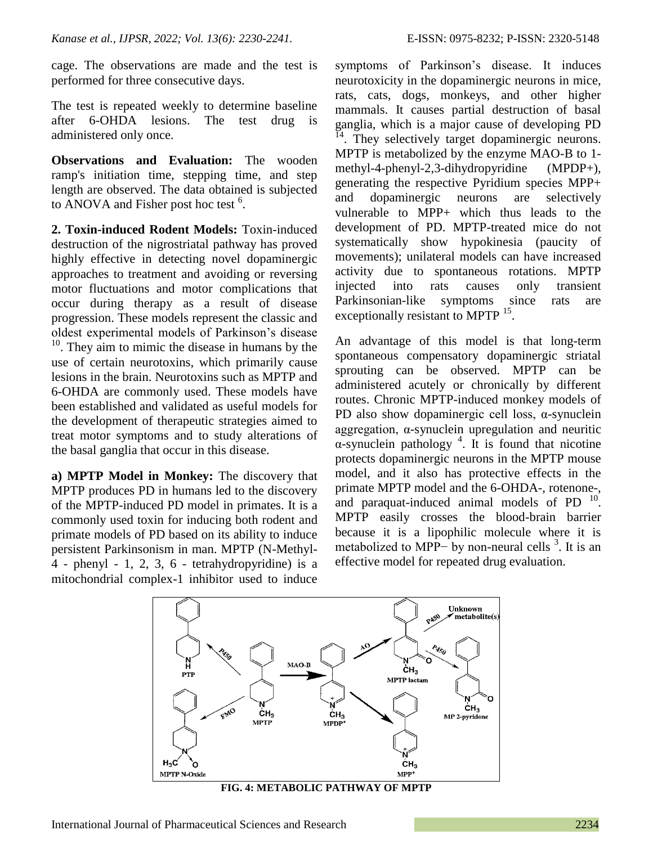cage. The observations are made and the test is performed for three consecutive days.

The test is repeated weekly to determine baseline after 6-OHDA lesions. The test drug is administered only once.

**Observations and Evaluation:** The wooden ramp's initiation time, stepping time, and step length are observed. The data obtained is subjected to ANOVA and Fisher post hoc test  $6$ .

**2. Toxin-induced Rodent Models:** Toxin-induced destruction of the nigrostriatal pathway has proved highly effective in detecting novel dopaminergic approaches to treatment and avoiding or reversing motor fluctuations and motor complications that occur during therapy as a result of disease progression. These models represent the classic and oldest experimental models of Parkinson's disease <sup>10</sup>. They aim to mimic the disease in humans by the use of certain neurotoxins, which primarily cause lesions in the brain. Neurotoxins such as MPTP and 6-OHDA are commonly used. These models have been established and validated as useful models for the development of therapeutic strategies aimed to treat motor symptoms and to study alterations of the basal ganglia that occur in this disease.

**a) MPTP Model in Monkey:** The discovery that MPTP produces PD in humans led to the discovery of the MPTP-induced PD model in primates. It is a commonly used toxin for inducing both rodent and primate models of PD based on its ability to induce persistent Parkinsonism in man. MPTP (N-Methyl-4 - phenyl - 1, 2, 3, 6 - tetrahydropyridine) is a mitochondrial complex-1 inhibitor used to induce

symptoms of Parkinson's disease. It induces neurotoxicity in the dopaminergic neurons in mice, rats, cats, dogs, monkeys, and other higher mammals. It causes partial destruction of basal ganglia, which is a major cause of developing PD  $14.$  They selectively target dopaminergic neurons. MPTP is metabolized by the enzyme MAO-B to 1 methyl-4-phenyl-2,3-dihydropyridine (MPDP+), generating the respective Pyridium species MPP+ and dopaminergic neurons are selectively vulnerable to MPP+ which thus leads to the development of PD. MPTP-treated mice do not systematically show hypokinesia (paucity of movements); unilateral models can have increased activity due to spontaneous rotations. MPTP injected into rats causes only transient Parkinsonian-like symptoms since rats are exceptionally resistant to MPTP <sup>15</sup>.

An advantage of this model is that long-term spontaneous compensatory dopaminergic striatal sprouting can be observed. MPTP can be administered acutely or chronically by different routes. Chronic MPTP-induced monkey models of PD also show dopaminergic cell loss,  $\alpha$ -synuclein aggregation, α-synuclein upregulation and neuritic  $\alpha$ -synuclein pathology<sup>4</sup>. It is found that nicotine protects dopaminergic neurons in the MPTP mouse model, and it also has protective effects in the primate MPTP model and the 6-OHDA-, rotenone-, and paraquat-induced animal models of PD<sup>10</sup>. MPTP easily crosses the blood-brain barrier because it is a lipophilic molecule where it is metabolized to MPP $-$  by non-neural cells  $3$ . It is an effective model for repeated drug evaluation.



**FIG. 4: METABOLIC PATHWAY OF MPTP**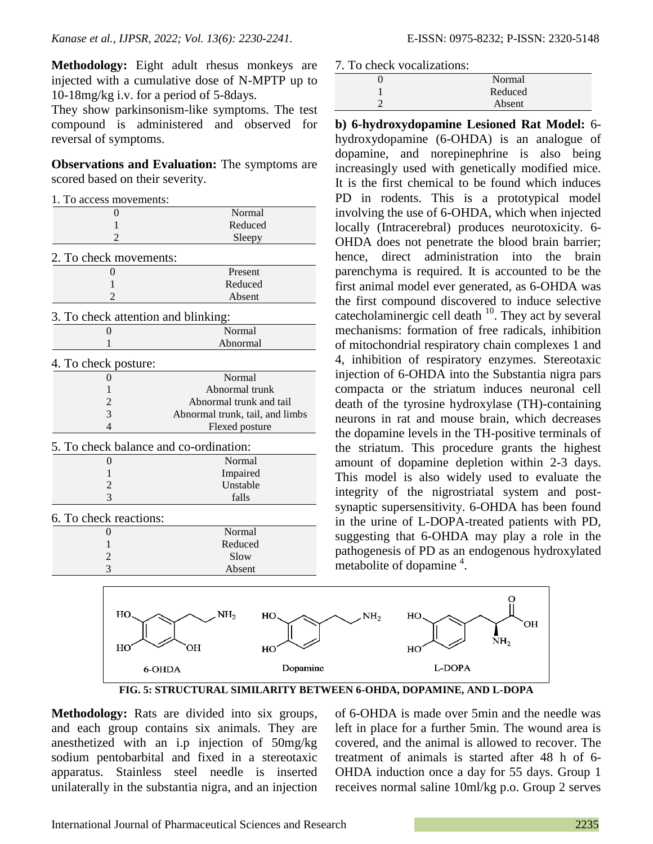**Methodology:** Eight adult rhesus monkeys are injected with a cumulative dose of N-MPTP up to 10-18mg/kg i.v. for a period of 5-8days.

They show parkinsonism-like symptoms. The test compound is administered and observed for reversal of symptoms.

**Observations and Evaluation:** The symptoms are scored based on their severity.

| 1. To access movements:                |                                 |
|----------------------------------------|---------------------------------|
| $_{0}$                                 | Normal                          |
| 1                                      | Reduced                         |
| 2                                      | Sleepy                          |
| 2. To check movements:                 |                                 |
| 0                                      | Present                         |
| 1                                      | Reduced                         |
| 2                                      | Absent                          |
| 3. To check attention and blinking:    |                                 |
| 0                                      | Normal                          |
| 1                                      | Abnormal                        |
| 4. To check posture:                   |                                 |
| 0                                      | Normal                          |
| 1                                      | Abnormal trunk                  |
| 2                                      | Abnormal trunk and tail         |
| 3                                      | Abnormal trunk, tail, and limbs |
| 4                                      | Flexed posture                  |
| 5. To check balance and co-ordination: |                                 |
| 0                                      | Normal                          |
| 1                                      | Impaired                        |
| $\overline{c}$                         | Unstable                        |
| 3                                      | falls                           |
| 6. To check reactions:                 |                                 |
| 0                                      | Normal                          |
| 1                                      | Reduced                         |
| 2                                      | Slow                            |
| 3                                      | Absent                          |
|                                        |                                 |
|                                        |                                 |

7. To check vocalizations:

| Normal  |
|---------|
| Reduced |
| Absent  |
|         |

**b) 6-hydroxydopamine Lesioned Rat Model:** 6 hydroxydopamine (6-OHDA) is an analogue of dopamine, and norepinephrine is also being increasingly used with genetically modified mice. It is the first chemical to be found which induces PD in rodents. This is a prototypical model involving the use of 6-OHDA, which when injected locally (Intracerebral) produces neurotoxicity. 6- OHDA does not penetrate the blood brain barrier; hence, direct administration into the brain parenchyma is required. It is accounted to be the first animal model ever generated, as 6-OHDA was the first compound discovered to induce selective catecholaminergic cell death  $10$ . They act by several mechanisms: formation of free radicals, inhibition of mitochondrial respiratory chain complexes 1 and 4, inhibition of respiratory enzymes. Stereotaxic injection of 6-OHDA into the Substantia nigra pars compacta or the striatum induces neuronal cell death of the tyrosine hydroxylase (TH)-containing neurons in rat and mouse brain, which decreases the dopamine levels in the TH-positive terminals of the striatum. This procedure grants the highest amount of dopamine depletion within 2-3 days. This model is also widely used to evaluate the integrity of the nigrostriatal system and postsynaptic supersensitivity. 6-OHDA has been found in the urine of L-DOPA-treated patients with PD, suggesting that 6-OHDA may play a role in the pathogenesis of PD as an endogenous hydroxylated  $\frac{1}{2}$  metabolite of dopamine<sup>4</sup>.



**FIG. 5: STRUCTURAL SIMILARITY BETWEEN 6-OHDA, DOPAMINE, AND L-DOPA**

**Methodology:** Rats are divided into six groups, and each group contains six animals. They are anesthetized with an i.p injection of 50mg/kg sodium pentobarbital and fixed in a stereotaxic apparatus. Stainless steel needle is inserted unilaterally in the substantia nigra, and an injection

of 6-OHDA is made over 5min and the needle was left in place for a further 5min. The wound area is covered, and the animal is allowed to recover. The treatment of animals is started after 48 h of 6- OHDA induction once a day for 55 days. Group 1 receives normal saline 10ml/kg p.o. Group 2 serves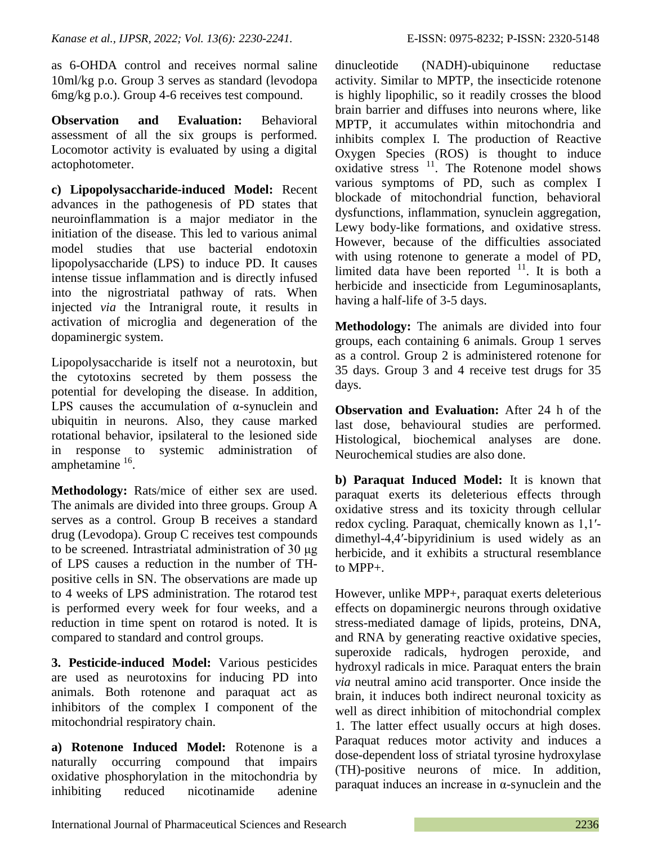as 6-OHDA control and receives normal saline 10ml/kg p.o. Group 3 serves as standard (levodopa 6mg/kg p.o.). Group 4-6 receives test compound.

**Observation and Evaluation:** Behavioral assessment of all the six groups is performed. Locomotor activity is evaluated by using a digital actophotometer.

**c) Lipopolysaccharide-induced Model:** Recent advances in the pathogenesis of PD states that neuroinflammation is a major mediator in the initiation of the disease. This led to various animal model studies that use bacterial endotoxin lipopolysaccharide (LPS) to induce PD. It causes intense tissue inflammation and is directly infused into the nigrostriatal pathway of rats. When injected *via* the Intranigral route, it results in activation of microglia and degeneration of the dopaminergic system.

Lipopolysaccharide is itself not a neurotoxin, but the cytotoxins secreted by them possess the potential for developing the disease. In addition, LPS causes the accumulation of  $\alpha$ -synuclein and ubiquitin in neurons. Also, they cause marked rotational behavior, ipsilateral to the lesioned side in response to systemic administration of amphetamine <sup>16</sup>.

**Methodology:** Rats/mice of either sex are used. The animals are divided into three groups. Group A serves as a control. Group B receives a standard drug (Levodopa). Group C receives test compounds to be screened. Intrastriatal administration of 30 μg of LPS causes a reduction in the number of THpositive cells in SN. The observations are made up to 4 weeks of LPS administration. The rotarod test is performed every week for four weeks, and a reduction in time spent on rotarod is noted. It is compared to standard and control groups.

**3. Pesticide-induced Model:** Various pesticides are used as neurotoxins for inducing PD into animals. Both rotenone and paraquat act as inhibitors of the complex I component of the mitochondrial respiratory chain.

**a) Rotenone Induced Model:** Rotenone is a naturally occurring compound that impairs oxidative phosphorylation in the mitochondria by inhibiting reduced nicotinamide adenine

dinucleotide (NADH)-ubiquinone reductase activity. Similar to MPTP, the insecticide rotenone is highly lipophilic, so it readily crosses the blood brain barrier and diffuses into neurons where, like MPTP, it accumulates within mitochondria and inhibits complex I. The production of Reactive Oxygen Species (ROS) is thought to induce oxidative stress <sup>11</sup>. The Rotenone model shows various symptoms of PD, such as complex I blockade of mitochondrial function, behavioral dysfunctions, inflammation, synuclein aggregation, Lewy body-like formations, and oxidative stress. However, because of the difficulties associated with using rotenone to generate a model of PD, limited data have been reported  $11$ . It is both a herbicide and insecticide from Leguminosaplants, having a half-life of 3-5 days.

**Methodology:** The animals are divided into four groups, each containing 6 animals. Group 1 serves as a control. Group 2 is administered rotenone for 35 days. Group 3 and 4 receive test drugs for 35 days.

**Observation and Evaluation:** After 24 h of the last dose, behavioural studies are performed. Histological, biochemical analyses are done. Neurochemical studies are also done.

**b) Paraquat Induced Model:** It is known that paraquat exerts its deleterious effects through oxidative stress and its toxicity through cellular redox cycling. Paraquat, chemically known as 1,1′ dimethyl-4,4′-bipyridinium is used widely as an herbicide, and it exhibits a structural resemblance to MPP+.

However, unlike MPP+, paraquat exerts deleterious effects on dopaminergic neurons through oxidative stress-mediated damage of lipids, proteins, DNA, and RNA by generating reactive oxidative species, superoxide radicals, hydrogen peroxide, and hydroxyl radicals in mice. Paraquat enters the brain *via* neutral amino acid transporter. Once inside the brain, it induces both indirect neuronal toxicity as well as direct inhibition of mitochondrial complex 1. The latter effect usually occurs at high doses. Paraquat reduces motor activity and induces a dose-dependent loss of striatal tyrosine hydroxylase (TH)-positive neurons of mice. In addition, paraquat induces an increase in α-synuclein and the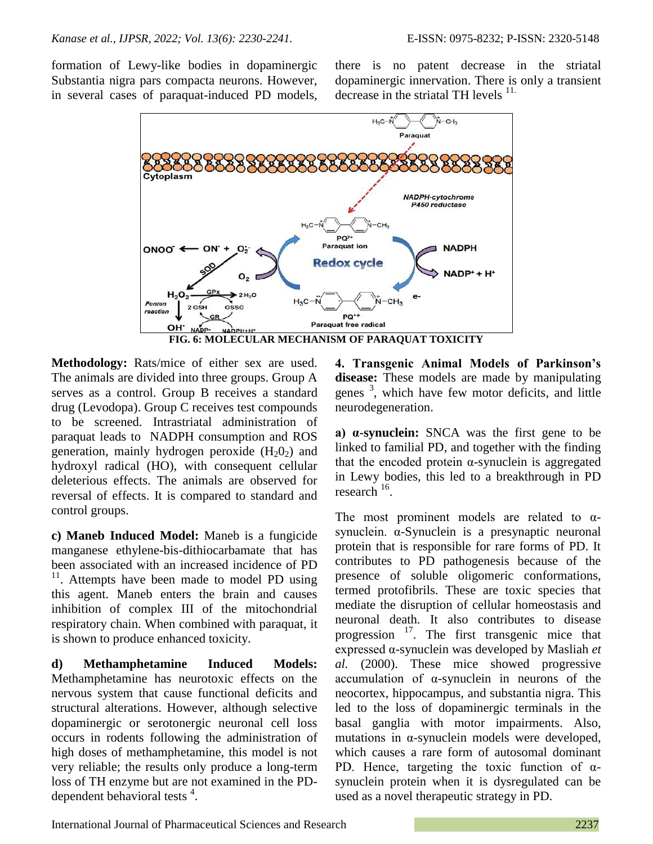formation of Lewy-like bodies in dopaminergic Substantia nigra pars compacta neurons. However, in several cases of paraquat-induced PD models, there is no patent decrease in the striatal dopaminergic innervation. There is only a transient decrease in the striatal TH levels  $11$ .



**Methodology:** Rats/mice of either sex are used. The animals are divided into three groups. Group A serves as a control. Group B receives a standard drug (Levodopa). Group C receives test compounds to be screened. Intrastriatal administration of paraquat leads to NADPH consumption and ROS generation, mainly hydrogen peroxide  $(H_2O_2)$  and hydroxyl radical (HO), with consequent cellular deleterious effects. The animals are observed for reversal of effects. It is compared to standard and control groups.

**c) Maneb Induced Model:** Maneb is a fungicide manganese ethylene-bis-dithiocarbamate that has been associated with an increased incidence of PD <sup>11</sup>. Attempts have been made to model PD using this agent. Maneb enters the brain and causes inhibition of complex III of the mitochondrial respiratory chain. When combined with paraquat, it is shown to produce enhanced toxicity.

**d) Methamphetamine Induced Models:** Methamphetamine has neurotoxic effects on the nervous system that cause functional deficits and structural alterations. However, although selective dopaminergic or serotonergic neuronal cell loss occurs in rodents following the administration of high doses of methamphetamine, this model is not very reliable; the results only produce a long-term loss of TH enzyme but are not examined in the PDdependent behavioral tests  $4$ .

**4. Transgenic Animal Models of Parkinson's disease:** These models are made by manipulating genes <sup>3</sup>, which have few motor deficits, and little neurodegeneration.

**a) α-synuclein:** SNCA was the first gene to be linked to familial PD, and together with the finding that the encoded protein  $α$ -synuclein is aggregated in Lewy bodies, this led to a breakthrough in PD research<sup>16</sup>.

The most prominent models are related to  $\alpha$ synuclein. α-Synuclein is a presynaptic neuronal protein that is responsible for rare forms of PD. It contributes to PD pathogenesis because of the presence of soluble oligomeric conformations, termed protofibrils. These are toxic species that mediate the disruption of cellular homeostasis and neuronal death. It also contributes to disease progression  $17$ . The first transgenic mice that expressed α-synuclein was developed by Masliah *et al.* (2000). These mice showed progressive accumulation of α-synuclein in neurons of the neocortex, hippocampus, and substantia nigra. This led to the loss of dopaminergic terminals in the basal ganglia with motor impairments. Also, mutations in α-synuclein models were developed, which causes a rare form of autosomal dominant PD. Hence, targeting the toxic function of  $\alpha$ synuclein protein when it is dysregulated can be used as a novel therapeutic strategy in PD.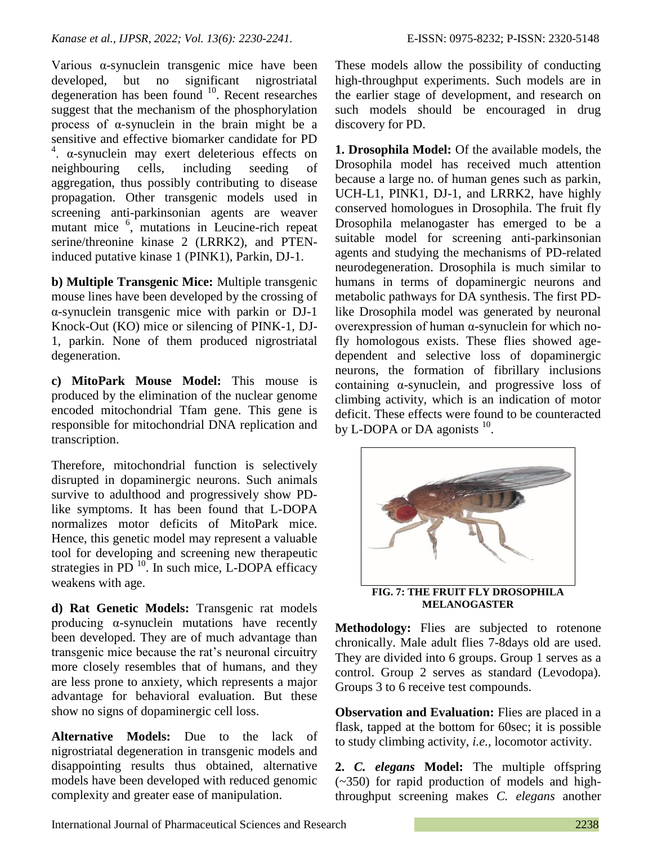Various α-synuclein transgenic mice have been developed, but no significant nigrostriatal degeneration has been found  $10$ . Recent researches suggest that the mechanism of the phosphorylation process of α-synuclein in the brain might be a sensitive and effective biomarker candidate for PD  $4.$   $\alpha$ -synuclein may exert deleterious effects on neighbouring cells, including seeding of aggregation, thus possibly contributing to disease propagation. Other transgenic models used in screening anti-parkinsonian agents are weaver mutant mice <sup>6</sup>, mutations in Leucine-rich repeat serine/threonine kinase 2 (LRRK2), and PTENinduced putative kinase 1 (PINK1), Parkin, DJ-1.

**b) Multiple Transgenic Mice:** Multiple transgenic mouse lines have been developed by the crossing of α-synuclein transgenic mice with parkin or DJ-1 Knock-Out (KO) mice or silencing of PINK-1, DJ-1, parkin. None of them produced nigrostriatal degeneration.

**c) MitoPark Mouse Model:** This mouse is produced by the elimination of the nuclear genome encoded mitochondrial Tfam gene. This gene is responsible for mitochondrial DNA replication and transcription.

Therefore, mitochondrial function is selectively disrupted in dopaminergic neurons. Such animals survive to adulthood and progressively show PDlike symptoms. It has been found that L-DOPA normalizes motor deficits of MitoPark mice. Hence, this genetic model may represent a valuable tool for developing and screening new therapeutic strategies in PD $^{10}$ . In such mice, L-DOPA efficacy weakens with age.

**d) Rat Genetic Models:** Transgenic rat models producing α-synuclein mutations have recently been developed. They are of much advantage than transgenic mice because the rat's neuronal circuitry more closely resembles that of humans, and they are less prone to anxiety, which represents a major advantage for behavioral evaluation. But these show no signs of dopaminergic cell loss.

**Alternative Models:** Due to the lack of nigrostriatal degeneration in transgenic models and disappointing results thus obtained, alternative models have been developed with reduced genomic complexity and greater ease of manipulation.

These models allow the possibility of conducting high-throughput experiments. Such models are in the earlier stage of development, and research on such models should be encouraged in drug discovery for PD.

**1. Drosophila Model:** Of the available models, the Drosophila model has received much attention because a large no. of human genes such as parkin, UCH-L1, PINK1, DJ-1, and LRRK2, have highly conserved homologues in Drosophila. The fruit fly Drosophila melanogaster has emerged to be a suitable model for screening anti-parkinsonian agents and studying the mechanisms of PD-related neurodegeneration. Drosophila is much similar to humans in terms of dopaminergic neurons and metabolic pathways for DA synthesis. The first PDlike Drosophila model was generated by neuronal overexpression of human α-synuclein for which nofly homologous exists. These flies showed agedependent and selective loss of dopaminergic neurons, the formation of fibrillary inclusions containing α-synuclein, and progressive loss of climbing activity, which is an indication of motor deficit. These effects were found to be counteracted by L-DOPA or DA agonists  $^{10}$ .



**MELANOGASTER**

**Methodology:** Flies are subjected to rotenone chronically. Male adult flies 7-8days old are used. They are divided into 6 groups. Group 1 serves as a control. Group 2 serves as standard (Levodopa). Groups 3 to 6 receive test compounds.

**Observation and Evaluation:** Flies are placed in a flask, tapped at the bottom for 60sec; it is possible to study climbing activity, *i.e.,* locomotor activity.

**2.** *C. elegans* **Model:** The multiple offspring (~350) for rapid production of models and highthroughput screening makes *C. elegans* another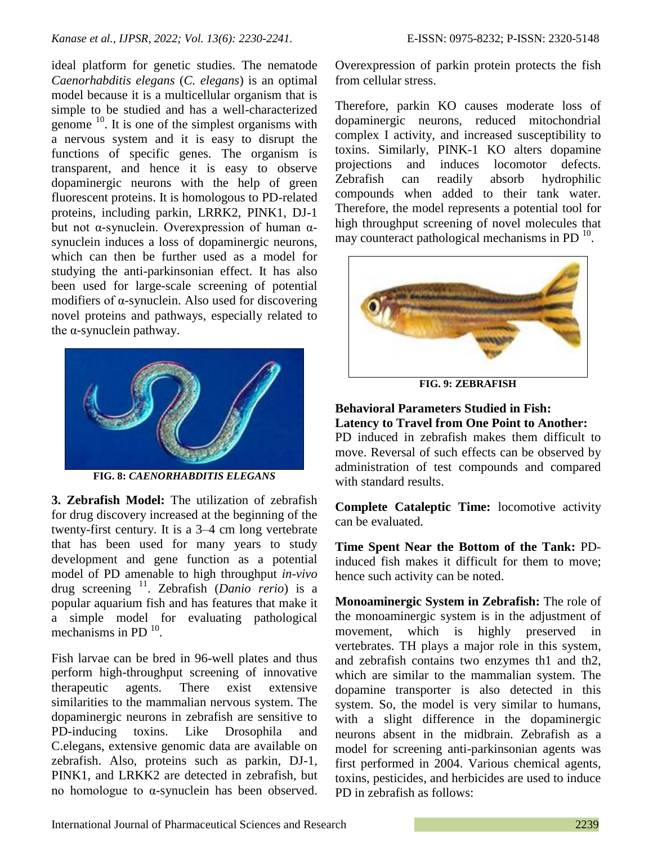### *Kanase et al., IJPSR, 2022; Vol. 13(6): 2230-2241.* E-ISSN: 0975-8232; P-ISSN: 2320-5148

ideal platform for genetic studies. The nematode *Caenorhabditis elegans* (*C. elegans*) is an optimal model because it is a multicellular organism that is simple to be studied and has a well-characterized genome  $10$ . It is one of the simplest organisms with a nervous system and it is easy to disrupt the functions of specific genes. The organism is transparent, and hence it is easy to observe dopaminergic neurons with the help of green fluorescent proteins. It is homologous to PD-related proteins, including parkin, LRRK2, PINK1, DJ-1 but not α-synuclein. Overexpression of human αsynuclein induces a loss of dopaminergic neurons, which can then be further used as a model for studying the anti-parkinsonian effect. It has also been used for large-scale screening of potential modifiers of α-synuclein. Also used for discovering novel proteins and pathways, especially related to the  $\alpha$ -synuclein pathway.



**FIG. 8:** *CAENORHABDITIS ELEGANS*

**3. Zebrafish Model:** The utilization of zebrafish for drug discovery increased at the beginning of the twenty-first century. It is a 3–4 cm long vertebrate that has been used for many years to study development and gene function as a potential model of PD amenable to high throughput *in-vivo* drug screening <sup>11</sup>. Zebrafish (*Danio rerio*) is a popular aquarium fish and has features that make it a simple model for evaluating pathological mechanisms in PD $^{10}$ .

Fish larvae can be bred in 96-well plates and thus perform high-throughput screening of innovative therapeutic agents. There exist extensive similarities to the mammalian nervous system. The dopaminergic neurons in zebrafish are sensitive to PD-inducing toxins. Like Drosophila and C.elegans, extensive genomic data are available on zebrafish. Also, proteins such as parkin, DJ-1, PINK1, and LRKK2 are detected in zebrafish, but no homologue to α-synuclein has been observed.

Overexpression of parkin protein protects the fish from cellular stress.

Therefore, parkin KO causes moderate loss of dopaminergic neurons, reduced mitochondrial complex I activity, and increased susceptibility to toxins. Similarly, PINK-1 KO alters dopamine projections and induces locomotor defects. Zebrafish can readily absorb hydrophilic compounds when added to their tank water. Therefore, the model represents a potential tool for high throughput screening of novel molecules that may counteract pathological mechanisms in PD $^{10}$ .



**FIG. 9: ZEBRAFISH**

## **Behavioral Parameters Studied in Fish: Latency to Travel from One Point to Another:**

PD induced in zebrafish makes them difficult to move. Reversal of such effects can be observed by administration of test compounds and compared with standard results.

**Complete Cataleptic Time:** locomotive activity can be evaluated.

**Time Spent Near the Bottom of the Tank:** PDinduced fish makes it difficult for them to move; hence such activity can be noted.

**Monoaminergic System in Zebrafish:** The role of the monoaminergic system is in the adjustment of movement, which is highly preserved in vertebrates. TH plays a major role in this system, and zebrafish contains two enzymes th1 and th2, which are similar to the mammalian system. The dopamine transporter is also detected in this system. So, the model is very similar to humans, with a slight difference in the dopaminergic neurons absent in the midbrain. Zebrafish as a model for screening anti-parkinsonian agents was first performed in 2004. Various chemical agents, toxins, pesticides, and herbicides are used to induce PD in zebrafish as follows: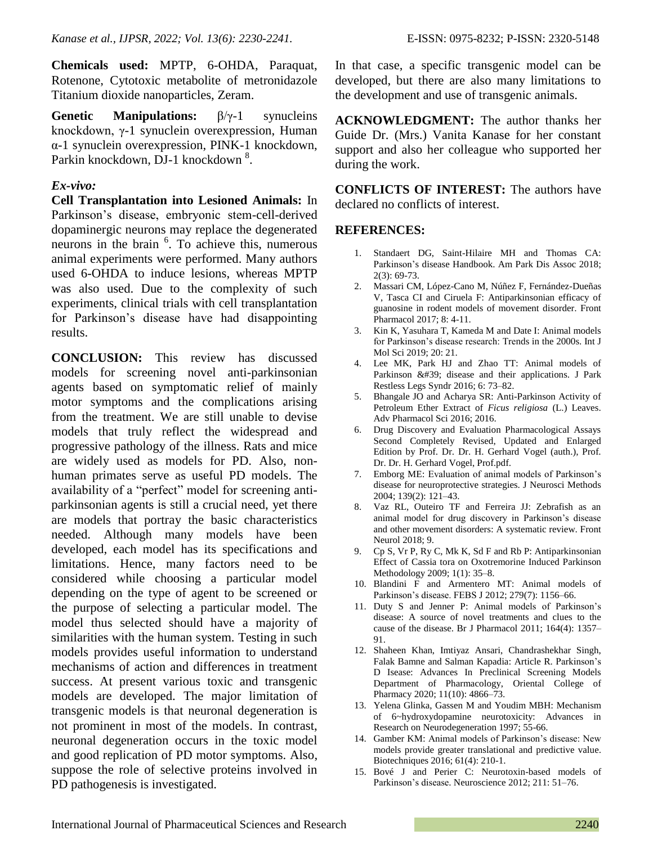**Chemicals used:** MPTP, 6-OHDA, Paraquat, Rotenone, Cytotoxic metabolite of metronidazole Titanium dioxide nanoparticles, Zeram.

**Genetic Manipulations:** β/γ-1 synucleins knockdown, γ-1 synuclein overexpression, Human α-1 synuclein overexpression, PINK-1 knockdown, Parkin knockdown, DJ-1 knockdown<sup>8</sup>.

## *Ex-vivo:*

**Cell Transplantation into Lesioned Animals:** In Parkinson's disease, embryonic stem-cell-derived dopaminergic neurons may replace the degenerated neurons in the brain <sup>6</sup> . To achieve this, numerous animal experiments were performed. Many authors used 6-OHDA to induce lesions, whereas MPTP was also used. Due to the complexity of such experiments, clinical trials with cell transplantation for Parkinson's disease have had disappointing results.

**CONCLUSION:** This review has discussed models for screening novel anti-parkinsonian agents based on symptomatic relief of mainly motor symptoms and the complications arising from the treatment. We are still unable to devise models that truly reflect the widespread and progressive pathology of the illness. Rats and mice are widely used as models for PD. Also, nonhuman primates serve as useful PD models. The availability of a "perfect" model for screening antiparkinsonian agents is still a crucial need, yet there are models that portray the basic characteristics needed. Although many models have been developed, each model has its specifications and limitations. Hence, many factors need to be considered while choosing a particular model depending on the type of agent to be screened or the purpose of selecting a particular model. The model thus selected should have a majority of similarities with the human system. Testing in such models provides useful information to understand mechanisms of action and differences in treatment success. At present various toxic and transgenic models are developed. The major limitation of transgenic models is that neuronal degeneration is not prominent in most of the models. In contrast, neuronal degeneration occurs in the toxic model and good replication of PD motor symptoms. Also, suppose the role of selective proteins involved in PD pathogenesis is investigated.

In that case, a specific transgenic model can be developed, but there are also many limitations to the development and use of transgenic animals.

**ACKNOWLEDGMENT:** The author thanks her Guide Dr. (Mrs.) Vanita Kanase for her constant support and also her colleague who supported her during the work.

**CONFLICTS OF INTEREST:** The authors have declared no conflicts of interest.

### **REFERENCES:**

- Standaert DG, Saint-Hilaire MH and Thomas CA: Parkinson's disease Handbook. Am Park Dis Assoc 2018; 2(3): 69-73.
- 2. Massari CM, López-Cano M, Núñez F, Fernández-Dueñas V, Tasca CI and Ciruela F: Antiparkinsonian efficacy of guanosine in rodent models of movement disorder. Front Pharmacol 2017; 8: 4-11.
- 3. Kin K, Yasuhara T, Kameda M and Date I: Animal models for Parkinson's disease research: Trends in the 2000s. Int J Mol Sci 2019; 20: 21.
- 4. Lee MK, Park HJ and Zhao TT: Animal models of Parkinson ' disease and their applications. J Park Restless Legs Syndr 2016; 6: 73–82.
- 5. Bhangale JO and Acharya SR: Anti-Parkinson Activity of Petroleum Ether Extract of *Ficus religiosa* (L.) Leaves. Adv Pharmacol Sci 2016; 2016.
- 6. Drug Discovery and Evaluation Pharmacological Assays Second Completely Revised, Updated and Enlarged Edition by Prof. Dr. Dr. H. Gerhard Vogel (auth.), Prof. Dr. Dr. H. Gerhard Vogel, Prof.pdf.
- 7. Emborg ME: Evaluation of animal models of Parkinson's disease for neuroprotective strategies. J Neurosci Methods 2004; 139(2): 121–43.
- 8. Vaz RL, Outeiro TF and Ferreira JJ: Zebrafish as an animal model for drug discovery in Parkinson's disease and other movement disorders: A systematic review. Front Neurol 2018; 9.
- 9. Cp S, Vr P, Ry C, Mk K, Sd F and Rb P: Antiparkinsonian Effect of Cassia tora on Oxotremorine Induced Parkinson Methodology 2009; 1(1): 35–8.
- 10. Blandini F and Armentero MT: Animal models of Parkinson's disease. FEBS J 2012; 279(7): 1156–66.
- 11. Duty S and Jenner P: Animal models of Parkinson's disease: A source of novel treatments and clues to the cause of the disease. Br J Pharmacol 2011; 164(4): 1357– 91.
- 12. Shaheen Khan, Imtiyaz Ansari, Chandrashekhar Singh, Falak Bamne and Salman Kapadia: Article R. Parkinson's D Isease: Advances In Preclinical Screening Models Department of Pharmacology, Oriental College of Pharmacy 2020; 11(10): 4866–73.
- 13. Yelena Glinka, Gassen M and Youdim MBH: Mechanism of 6~hydroxydopamine neurotoxicity: Advances in Research on Neurodegeneration 1997; 55-66.
- 14. Gamber KM: Animal models of Parkinson's disease: New models provide greater translational and predictive value. Biotechniques 2016; 61(4): 210-1.
- 15. Bové J and Perier C: Neurotoxin-based models of Parkinson's disease. Neuroscience 2012; 211: 51–76.